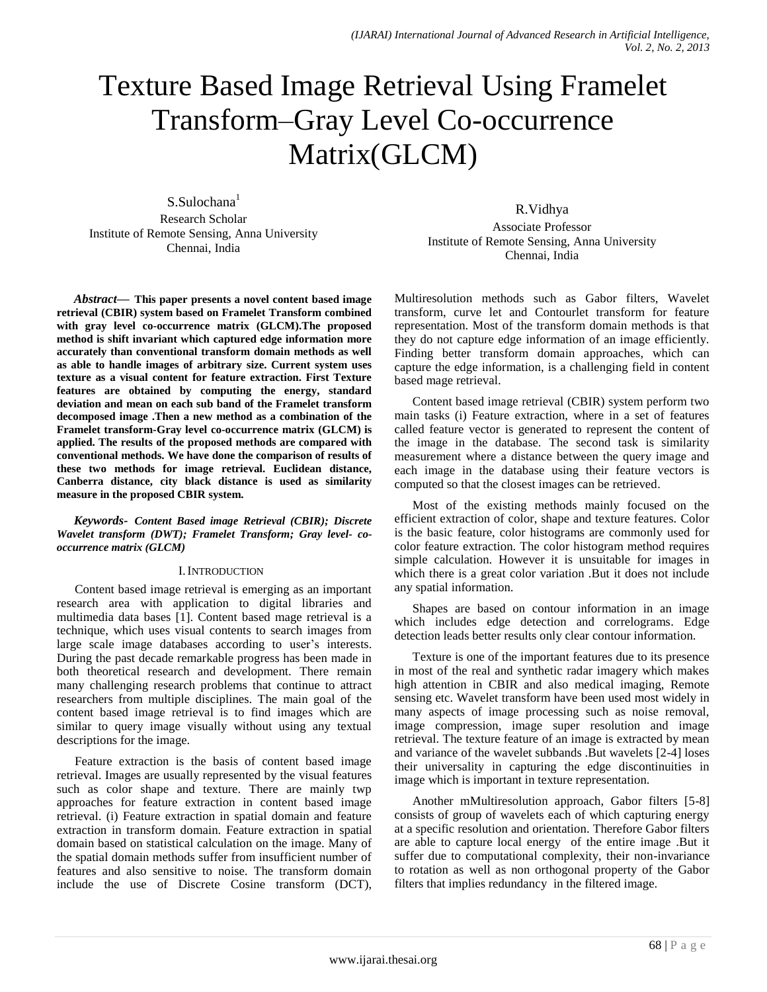# Texture Based Image Retrieval Using Framelet Transform–Gray Level Co-occurrence Matrix(GLCM)

S.Sulochana<sup>1</sup> Research Scholar Institute of Remote Sensing, Anna University Chennai, India

R.Vidhya Associate Professor Institute of Remote Sensing, Anna University Chennai, India

*Abstract***— This paper presents a novel content based image retrieval (CBIR) system based on Framelet Transform combined with gray level co-occurrence matrix (GLCM).The proposed method is shift invariant which captured edge information more accurately than conventional transform domain methods as well as able to handle images of arbitrary size. Current system uses texture as a visual content for feature extraction. First Texture features are obtained by computing the energy, standard deviation and mean on each sub band of the Framelet transform decomposed image .Then a new method as a combination of the Framelet transform-Gray level co-occurrence matrix (GLCM) is applied. The results of the proposed methods are compared with conventional methods. We have done the comparison of results of these two methods for image retrieval. Euclidean distance, Canberra distance, city black distance is used as similarity measure in the proposed CBIR system.**

*Keywords- Content Based image Retrieval (CBIR); Discrete Wavelet transform (DWT); Framelet Transform; Gray level- cooccurrence matrix (GLCM)*

## I.INTRODUCTION

Content based image retrieval is emerging as an important research area with application to digital libraries and multimedia data bases [1]. Content based mage retrieval is a technique, which uses visual contents to search images from large scale image databases according to user's interests. During the past decade remarkable progress has been made in both theoretical research and development. There remain many challenging research problems that continue to attract researchers from multiple disciplines. The main goal of the content based image retrieval is to find images which are similar to query image visually without using any textual descriptions for the image.

Feature extraction is the basis of content based image retrieval. Images are usually represented by the visual features such as color shape and texture. There are mainly twp approaches for feature extraction in content based image retrieval. (i) Feature extraction in spatial domain and feature extraction in transform domain. Feature extraction in spatial domain based on statistical calculation on the image. Many of the spatial domain methods suffer from insufficient number of features and also sensitive to noise. The transform domain include the use of Discrete Cosine transform (DCT), Multiresolution methods such as Gabor filters, Wavelet transform, curve let and Contourlet transform for feature representation. Most of the transform domain methods is that they do not capture edge information of an image efficiently. Finding better transform domain approaches, which can capture the edge information, is a challenging field in content based mage retrieval.

Content based image retrieval (CBIR) system perform two main tasks (i) Feature extraction, where in a set of features called feature vector is generated to represent the content of the image in the database. The second task is similarity measurement where a distance between the query image and each image in the database using their feature vectors is computed so that the closest images can be retrieved.

Most of the existing methods mainly focused on the efficient extraction of color, shape and texture features. Color is the basic feature, color histograms are commonly used for color feature extraction. The color histogram method requires simple calculation. However it is unsuitable for images in which there is a great color variation .But it does not include any spatial information.

Shapes are based on contour information in an image which includes edge detection and correlograms. Edge detection leads better results only clear contour information.

Texture is one of the important features due to its presence in most of the real and synthetic radar imagery which makes high attention in CBIR and also medical imaging, Remote sensing etc. Wavelet transform have been used most widely in many aspects of image processing such as noise removal, image compression, image super resolution and image retrieval. The texture feature of an image is extracted by mean and variance of the wavelet subbands .But wavelets [2-4] loses their universality in capturing the edge discontinuities in image which is important in texture representation.

Another mMultiresolution approach, Gabor filters [5-8] consists of group of wavelets each of which capturing energy at a specific resolution and orientation. Therefore Gabor filters are able to capture local energy of the entire image .But it suffer due to computational complexity, their non-invariance to rotation as well as non orthogonal property of the Gabor filters that implies redundancy in the filtered image.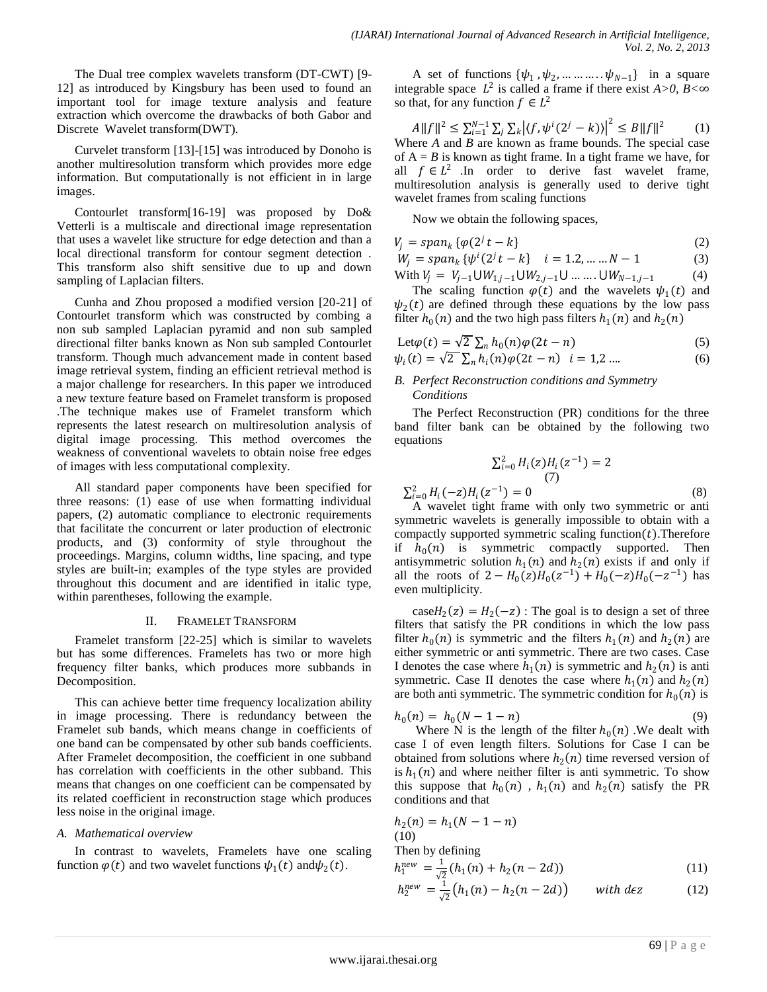The Dual tree complex wavelets transform (DT-CWT) [9- 12] as introduced by Kingsbury has been used to found an important tool for image texture analysis and feature extraction which overcome the drawbacks of both Gabor and Discrete Wavelet transform(DWT).

Curvelet transform [13]-[15] was introduced by Donoho is another multiresolution transform which provides more edge information. But computationally is not efficient in in large images.

Contourlet transform[16-19] was proposed by Do& Vetterli is a multiscale and directional image representation that uses a wavelet like structure for edge detection and than a local directional transform for contour segment detection . This transform also shift sensitive due to up and down sampling of Laplacian filters.

Cunha and Zhou proposed a modified version [20-21] of Contourlet transform which was constructed by combing a non sub sampled Laplacian pyramid and non sub sampled directional filter banks known as Non sub sampled Contourlet transform. Though much advancement made in content based image retrieval system, finding an efficient retrieval method is a major challenge for researchers. In this paper we introduced a new texture feature based on Framelet transform is proposed .The technique makes use of Framelet transform which represents the latest research on multiresolution analysis of digital image processing. This method overcomes the weakness of conventional wavelets to obtain noise free edges of images with less computational complexity.

All standard paper components have been specified for three reasons: (1) ease of use when formatting individual papers, (2) automatic compliance to electronic requirements that facilitate the concurrent or later production of electronic products, and (3) conformity of style throughout the proceedings. Margins, column widths, line spacing, and type styles are built-in; examples of the type styles are provided throughout this document and are identified in italic type, within parentheses, following the example.

#### II. FRAMELET TRANSFORM

Framelet transform [22-25] which is similar to wavelets but has some differences. Framelets has two or more high frequency filter banks, which produces more subbands in Decomposition.

This can achieve better time frequency localization ability in image processing. There is redundancy between the Framelet sub bands, which means change in coefficients of one band can be compensated by other sub bands coefficients. After Framelet decomposition, the coefficient in one subband has correlation with coefficients in the other subband. This means that changes on one coefficient can be compensated by its related coefficient in reconstruction stage which produces less noise in the original image.

## *A. Mathematical overview*

In contrast to wavelets, Framelets have one scaling function  $\varphi(t)$  and two wavelet functions  $\psi_1(t)$  and  $\psi_2(t)$ .

A set of functions  $\{\psi_1, \psi_2, \dots \dots \dots \dots \psi_{N-1}\}$  in a square integrable space  $L^2$  is called a frame if there exist  $A > 0$ ,  $B < \infty$ so that, for any function  $f \in L^2$ 

 $||A||f||^2 \leq \sum_{i=1}^{N-1} \sum_i \sum_k |\langle f, \psi^i(2^j - k) \rangle|^2$  $\sum_{i=1}^{N-1} \sum_j \sum_k |\langle f, \psi^i(2^j - k)\rangle|^2 \leq B \|f\|^2$ (1) Where *A* and *B* are known as frame bounds. The special case of  $A = B$  is known as tight frame. In a tight frame we have, for all  $f \in L^2$  . In order to derive fast wavelet frame, multiresolution analysis is generally used to derive tight wavelet frames from scaling functions

Now we obtain the following spaces,

$$
V_j = span_k \{ \varphi(2^j t - k) \tag{2}
$$

$$
W_j = span_k \{ \psi^i(2^j t - k) \mid i = 1, 2, \dots, N - 1 \tag{3}
$$

With 
$$
V_j = V_{j-1} \cup W_{1,j-1} \cup W_{2,j-1} \cup \dots \dots \cup W_{N-1,j-1}
$$
 (4)

The scaling function  $\varphi(t)$  and the wavelets  $\psi_1(t)$  and  $\psi_2(t)$  are defined through these equations by the low pass filter  $h_0(n)$  and the two high pass filters  $h_1(n)$  and  $h_2(n)$ 

$$
Let \varphi(t) = \sqrt{2} \sum_{n} h_0(n) \varphi(2t - n)
$$
\n(5)

$$
\psi_i(t) = \sqrt{2} \sum_n h_i(n) \varphi(2t - n) \quad i = 1, 2 \dots \tag{6}
$$

## *B. Perfect Reconstruction conditions and Symmetry Conditions*

The Perfect Reconstruction (PR) conditions for the three band filter bank can be obtained by the following two equations

$$
\sum_{i=0}^{2} H_i(z) H_i(z^{-1}) = 2
$$
  
(7)  

$$
H_i(z^{-1}) = 0
$$
 (8)

 $\sum_{i=0}^{2} H_i(-z)H_i$ A wavelet tight frame with only two symmetric or anti symmetric wavelets is generally impossible to obtain with a compactly supported symmetric scaling function $(t)$ . Therefore if  $h_0(n)$  is symmetric compactly supported. Then antisymmetric solution  $h_1(n)$  and  $h_2(n)$  exists if and only if all the roots of  $2 - H_0(z)H_0(z^{-1}) + H_0(-z)H_0(-z^{-1})$  has even multiplicity.

 $\text{caseH}_2(z) = H_2(-z)$ : The goal is to design a set of three filters that satisfy the PR conditions in which the low pass filter  $h_0(n)$  is symmetric and the filters  $h_1(n)$  and  $h_2(n)$  are either symmetric or anti symmetric. There are two cases. Case I denotes the case where  $h_1(n)$  is symmetric and  $h_2(n)$  is anti symmetric. Case II denotes the case where  $h_1(n)$  and  $h_2(n)$ are both anti symmetric. The symmetric condition for  $h_0(n)$  is

$$
h_0(n) = h_0(N-1-n)
$$
\n(9)

Where N is the length of the filter  $h_0(n)$ . We dealt with case I of even length filters. Solutions for Case I can be obtained from solutions where  $h_2(n)$  time reversed version of is  $h_1(n)$  and where neither filter is anti-symmetric. To show this suppose that  $h_0(n)$ ,  $h_1(n)$  and  $h_2(n)$  satisfy the PR conditions and that

$$
h_2(n) = h_1(N - 1 - n)
$$
  
(10)  
Then by defining  

$$
h_1^{new} = \frac{1}{\sqrt{2}} (h_1(n) + h_2(n - 2d))
$$
 (11)

$$
h_2^{new} = \frac{1}{\sqrt{2}} (h_1(n) - h_2(n - 2d)) \quad \text{with } d \in \mathbb{Z} \tag{12}
$$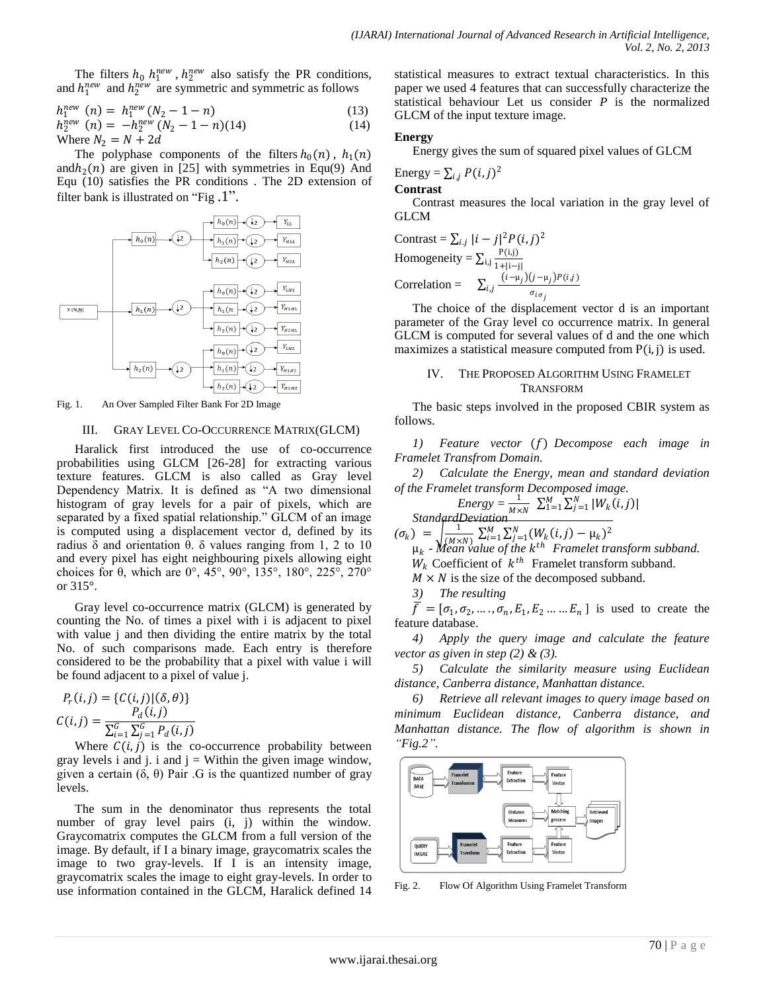The filters  $h_0$   $h_1^{new}$ ,  $h_2^{new}$  also satisfy the PR conditions, and  $h_1^{new}$  and  $h_2^{new}$  are symmetric and symmetric as follows

$$
h_1^{new} (n) = h_1^{new} (N_2 - 1 - n) \tag{13}
$$

 $h_2^{new}$  (n) =  $-h_2^{new}$  ( $N_2 - 1 - n$ )(14) (14) Where  $N_2 = N + 2d$ 

The polyphase components of the filters  $h_0(n)$ ,  $h_1(n)$ and $h_2(n)$  are given in [25] with symmetries in Equ(9) And Equ (10) satisfies the PR conditions . The 2D extension of filter bank is illustrated on "Fig .1".



Fig. 1. An Over Sampled Filter Bank For 2D Image

#### III. GRAY LEVEL CO-OCCURRENCE MATRIX(GLCM)

Haralick first introduced the use of co-occurrence probabilities using GLCM [26-28] for extracting various texture features. GLCM is also called as Gray level Dependency Matrix. It is defined as "A two dimensional histogram of gray levels for a pair of pixels, which are separated by a fixed spatial relationship." GLCM of an image is computed using a displacement vector d, defined by its radius δ and orientation θ. δ values ranging from 1, 2 to 10 and every pixel has eight neighbouring pixels allowing eight choices for θ, which are 0°, 45°, 90°, 135°, 180°, 225°, 270° or 315°.

Gray level co-occurrence matrix (GLCM) is generated by counting the No. of times a pixel with i is adjacent to pixel with value *j* and then dividing the entire matrix by the total No. of such comparisons made. Each entry is therefore considered to be the probability that a pixel with value i will be found adjacent to a pixel of value j.

$$
P_r(i,j) = \{C(i,j) | (\delta, \theta)\}
$$
  

$$
C(i,j) = \frac{P_d(i,j)}{\sum_{i=1}^G \sum_{j=1}^G P_d(i,j)}
$$

Where  $C(i, j)$  is the co-occurrence probability between gray levels i and j. i and  $j =$  Within the given image window, given a certain  $(δ, θ)$  Pair . G is the quantized number of gray levels.

The sum in the denominator thus represents the total number of gray level pairs (i, j) within the window. Graycomatrix computes the GLCM from a full version of the image. By default, if I a binary image, graycomatrix scales the image to two gray-levels. If I is an intensity image, graycomatrix scales the image to eight gray-levels. In order to use information contained in the GLCM, Haralick defined 14 statistical measures to extract textual characteristics. In this paper we used 4 features that can successfully characterize the statistical behaviour Let us consider *P* is the normalized GLCM of the input texture image.

#### **Energy**

Energy gives the sum of squared pixel values of GLCM

Energy = 
$$
\sum_{i,j} P(i,j)^2
$$

**Contrast** 

Contrast measures the local variation in the gray level of GLCM

Contrast = 
$$
\sum_{i,j} |i - j|^2 P(i, j)^2
$$

\nHomogeneity = 
$$
\sum_{i,j} \frac{P(i,j)}{1 + |i - j|}
$$

\nCorrelation = 
$$
\sum_{i,j} \frac{(i - \mu_j)(j - \mu_j)P(i,j)}{\sigma_{i\sigma_j}}
$$

The choice of the displacement vector d is an important parameter of the Gray level co occurrence matrix. In general GLCM is computed for several values of d and the one which maximizes a statistical measure computed from  $P(i, j)$  is used.

# IV. THE PROPOSED ALGORITHM USING FRAMELET TRANSFORM

The basic steps involved in the proposed CBIR system as follows.

1) *Feature vector* (f) Decompose each image in *Framelet Transfrom Domain.*

*2) Calculate the Energy, mean and standard deviation of the Framelet transform Decomposed image.*

$$
Energy = \frac{1}{M \times N} \sum_{1=1}^{M} \sum_{j=1}^{N} |W_k(i,j)|
$$
  
StandardDeviation

 $(\sigma_k) = \frac{1}{\sqrt{Mx}}$  $(0, \frac{1}{(\mu \times N)} \sum_{i=1}^{M} \sum_{j=1}^{N} (W_k(i,j) - \mu_k)^2)$ <br> $\mu_k$  - *Mean value of the k<sup>th</sup>* Framelet transform subband.

 $W_k$  Coefficient of  $k^{th}$  Framelet transform subband.

 $M \times N$  is the size of the decomposed subband.

*3) The resulting* 

 $\overline{f} = [\sigma_1, \sigma_2, \dots, \sigma_n, E_1, E_2 \dots, E_n]$  is used to create the feature database.

*4) Apply the query image and calculate the feature vector as given in step (2) & (3).*

*5) Calculate the similarity measure using Euclidean distance, Canberra distance, Manhattan distance.*

*6) Retrieve all relevant images to query image based on minimum Euclidean distance, Canberra distance, and Manhattan distance. The flow of algorithm is shown in "Fig.2".*



Fig. 2. Flow Of Algorithm Using Framelet Transform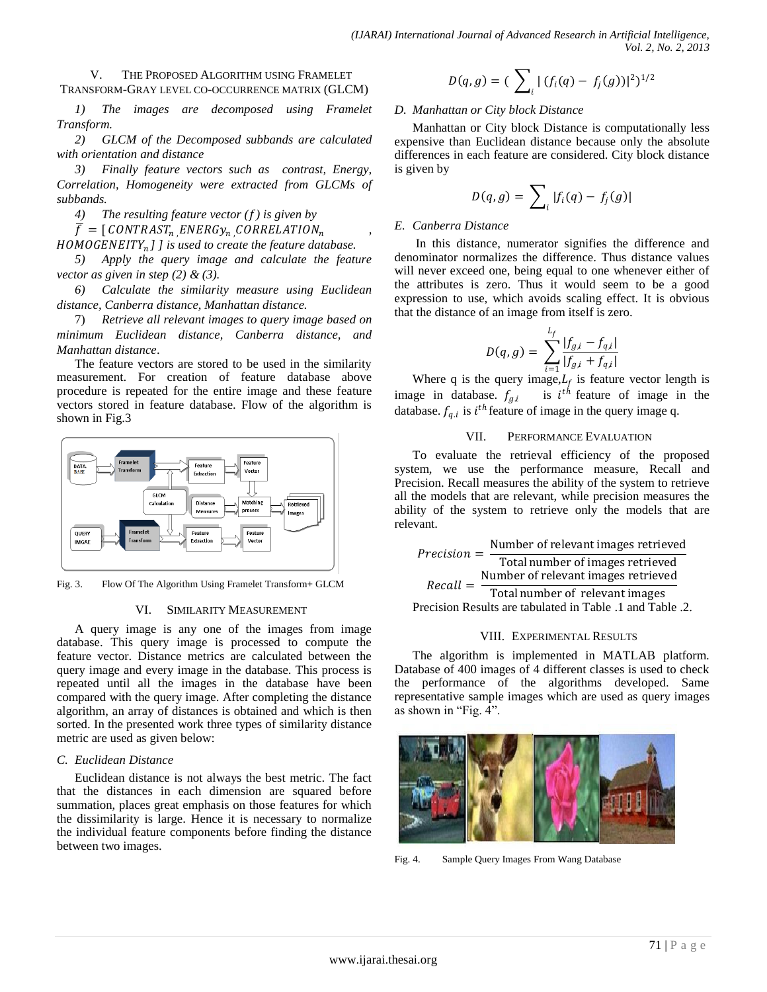#### V. THE PROPOSED ALGORITHM USING FRAMELET TRANSFORM-GRAY LEVEL CO-OCCURRENCE MATRIX (GLCM)

*1) The images are decomposed using Framelet Transform.*

*2) GLCM of the Decomposed subbands are calculated with orientation and distance* 

*3) Finally feature vectors such as contrast, Energy, Correlation, Homogeneity were extracted from GLCMs of subbands.*

*4) The resulting feature vector () is given by*

 $\overline{f} = [CONTRAST_n] ENERGy_n] CORRELATION_n$ 

*] ] is used to create the feature database.*

*5) Apply the query image and calculate the feature vector as given in step (2) & (3).*

*6) Calculate the similarity measure using Euclidean distance, Canberra distance, Manhattan distance.*

7) *Retrieve all relevant images to query image based on minimum Euclidean distance, Canberra distance, and Manhattan distance*.

The feature vectors are stored to be used in the similarity measurement. For creation of feature database above procedure is repeated for the entire image and these feature vectors stored in feature database. Flow of the algorithm is shown in Fig.3



Fig. 3. Flow Of The Algorithm Using Framelet Transform+ GLCM

## VI. SIMILARITY MEASUREMENT

A query image is any one of the images from image database. This query image is processed to compute the feature vector. Distance metrics are calculated between the query image and every image in the database. This process is repeated until all the images in the database have been compared with the query image. After completing the distance algorithm, an array of distances is obtained and which is then sorted. In the presented work three types of similarity distance metric are used as given below:

# *C. Euclidean Distance*

Euclidean distance is not always the best metric. The fact that the distances in each dimension are squared before summation, places great emphasis on those features for which the dissimilarity is large. Hence it is necessary to normalize the individual feature components before finding the distance between two images.

$$
D(q,g) = \left(\sum_i |(f_i(q) - f_j(g))|^2\right)^{1/2}
$$

# *D. Manhattan or City block Distance*

Manhattan or City block Distance is computationally less expensive than Euclidean distance because only the absolute differences in each feature are considered. City block distance is given by

$$
D(q,g) = \sum_i |f_i(q) - f_j(g)|
$$

# *E. Canberra Distance*

*,* 

In this distance, numerator signifies the difference and denominator normalizes the difference. Thus distance values will never exceed one, being equal to one whenever either of the attributes is zero. Thus it would seem to be a good expression to use, which avoids scaling effect. It is obvious that the distance of an image from itself is zero.

$$
D(q,g) = \sum_{i=1}^{L_f} \frac{|f_{g,i} - f_{q,i}|}{|f_{g,i} + f_{q,i}|}
$$

Where q is the query image,  $L_f$  is feature vector length is image in database.  $f_{g,i}$  is  $i^{th}$  feature of image in the database.  $f_{q,i}$  is  $i^{th}$  feature of image in the query image q.

# VII. PERFORMANCE EVALUATION

To evaluate the retrieval efficiency of the proposed system, we use the performance measure, Recall and Precision. Recall measures the ability of the system to retrieve all the models that are relevant, while precision measures the ability of the system to retrieve only the models that are relevant.

$$
Precision = \frac{Number of relevant images retrieved\nTotal number of images retrieved\nRecall = \frac{Number of relevant images retrieved\nTotal number of relevant images\nPrecision Results are tabulated in Table .1 and Table .2.
$$

## VIII. EXPERIMENTAL RESULTS

The algorithm is implemented in MATLAB platform. Database of 400 images of 4 different classes is used to check the performance of the algorithms developed. Same representative sample images which are used as query images as shown in "Fig. 4".



Fig. 4. Sample Query Images From Wang Database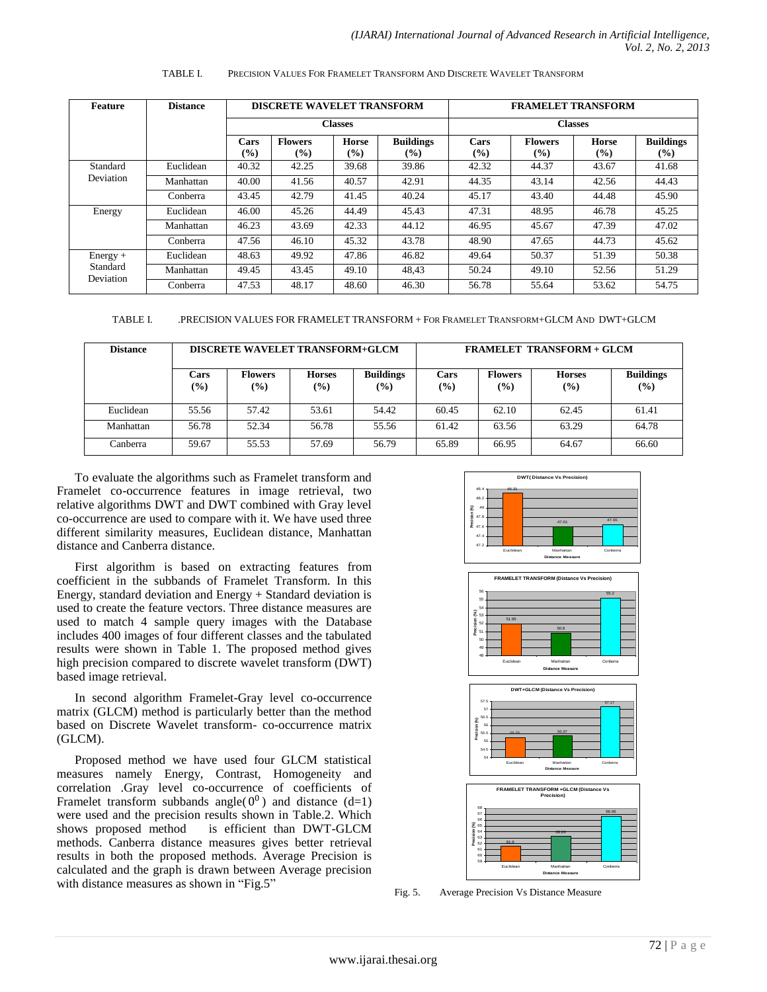| Feature                             | <b>Distance</b> | <b>DISCRETE WAVELET TRANSFORM</b><br><b>Classes</b> |                                 |                     |                            | <b>FRAMELET TRANSFORM</b><br><b>Classes</b> |                                 |                        |                            |
|-------------------------------------|-----------------|-----------------------------------------------------|---------------------------------|---------------------|----------------------------|---------------------------------------------|---------------------------------|------------------------|----------------------------|
|                                     |                 |                                                     |                                 |                     |                            |                                             |                                 |                        |                            |
|                                     |                 | Cars<br>$\left( \frac{6}{2} \right)$                | <b>Flowers</b><br>$\frac{9}{6}$ | <b>Horse</b><br>(%) | <b>Buildings</b><br>$($ %) | Cars<br>$(\%)$                              | <b>Flowers</b><br>$\frac{9}{6}$ | <b>Horse</b><br>$($ %) | <b>Buildings</b><br>$(\%)$ |
| Standard<br>Deviation               | Euclidean       | 40.32                                               | 42.25                           | 39.68               | 39.86                      | 42.32                                       | 44.37                           | 43.67                  | 41.68                      |
|                                     | Manhattan       | 40.00                                               | 41.56                           | 40.57               | 42.91                      | 44.35                                       | 43.14                           | 42.56                  | 44.43                      |
|                                     | Conberra        | 43.45                                               | 42.79                           | 41.45               | 40.24                      | 45.17                                       | 43.40                           | 44.48                  | 45.90                      |
| Energy                              | Euclidean       | 46.00                                               | 45.26                           | 44.49               | 45.43                      | 47.31                                       | 48.95                           | 46.78                  | 45.25                      |
|                                     | Manhattan       | 46.23                                               | 43.69                           | 42.33               | 44.12                      | 46.95                                       | 45.67                           | 47.39                  | 47.02                      |
|                                     | Conberra        | 47.56                                               | 46.10                           | 45.32               | 43.78                      | 48.90                                       | 47.65                           | 44.73                  | 45.62                      |
| $Energy +$<br>Standard<br>Deviation | Euclidean       | 48.63                                               | 49.92                           | 47.86               | 46.82                      | 49.64                                       | 50.37                           | 51.39                  | 50.38                      |
|                                     | Manhattan       | 49.45                                               | 43.45                           | 49.10               | 48.43                      | 50.24                                       | 49.10                           | 52.56                  | 51.29                      |
|                                     | Conberra        | 47.53                                               | 48.17                           | 48.60               | 46.30                      | 56.78                                       | 55.64                           | 53.62                  | 54.75                      |

#### TABLE I. PRECISION VALUES FOR FRAMELET TRANSFORM AND DISCRETE WAVELET TRANSFORM

TABLE I. .PRECISION VALUES FOR FRAMELET TRANSFORM + FOR FRAMELET TRANSFORM+GLCM AND DWT+GLCM

| <b>Distance</b> |             | <b>DISCRETE WAVELET TRANSFORM+GLCM</b>         |                                               |                                   | <b>FRAMELET TRANSFORM + GLCM</b> |                          |                                |                         |  |
|-----------------|-------------|------------------------------------------------|-----------------------------------------------|-----------------------------------|----------------------------------|--------------------------|--------------------------------|-------------------------|--|
|                 | Cars<br>(%) | <b>Flowers</b><br>$\left( \frac{9}{6} \right)$ | <b>Horses</b><br>$\left( \frac{9}{0} \right)$ | <b>Buildings</b><br>$\frac{1}{2}$ | Cars<br>$\frac{9}{0}$            | <b>Flowers</b><br>$($ %) | <b>Horses</b><br>$\frac{9}{6}$ | <b>Buildings</b><br>(%) |  |
| Euclidean       | 55.56       | 57.42                                          | 53.61                                         | 54.42                             | 60.45                            | 62.10                    | 62.45                          | 61.41                   |  |
| Manhattan       | 56.78       | 52.34                                          | 56.78                                         | 55.56                             | 61.42                            | 63.56                    | 63.29                          | 64.78                   |  |
| Canberra        | 59.67       | 55.53                                          | 57.69                                         | 56.79                             | 65.89                            | 66.95                    | 64.67                          | 66.60                   |  |

To evaluate the algorithms such as Framelet transform and Framelet co-occurrence features in image retrieval, two relative algorithms DWT and DWT combined with Gray level co-occurrence are used to compare with it. We have used three different similarity measures, Euclidean distance, Manhattan distance and Canberra distance.

First algorithm is based on extracting features from coefficient in the subbands of Framelet Transform. In this Energy, standard deviation and Energy + Standard deviation is used to create the feature vectors. Three distance measures are used to match 4 sample query images with the Database includes 400 images of four different classes and the tabulated results were shown in Table 1. The proposed method gives high precision compared to discrete wavelet transform (DWT) based image retrieval.

In second algorithm Framelet-Gray level co-occurrence matrix (GLCM) method is particularly better than the method based on Discrete Wavelet transform- co-occurrence matrix (GLCM).

Proposed method we have used four GLCM statistical measures namely Energy, Contrast, Homogeneity and correlation .Gray level co-occurrence of coefficients of Framelet transform subbands angle( $0^0$ ) and distance (d=1) were used and the precision results shown in Table.2. Which shows proposed method is efficient than DWT-GLCM methods. Canberra distance measures gives better retrieval results in both the proposed methods. Average Precision is calculated and the graph is drawn between Average precision with distance measures as shown in "Fig.5"





Fig. 5. Average Precision Vs Distance Measure